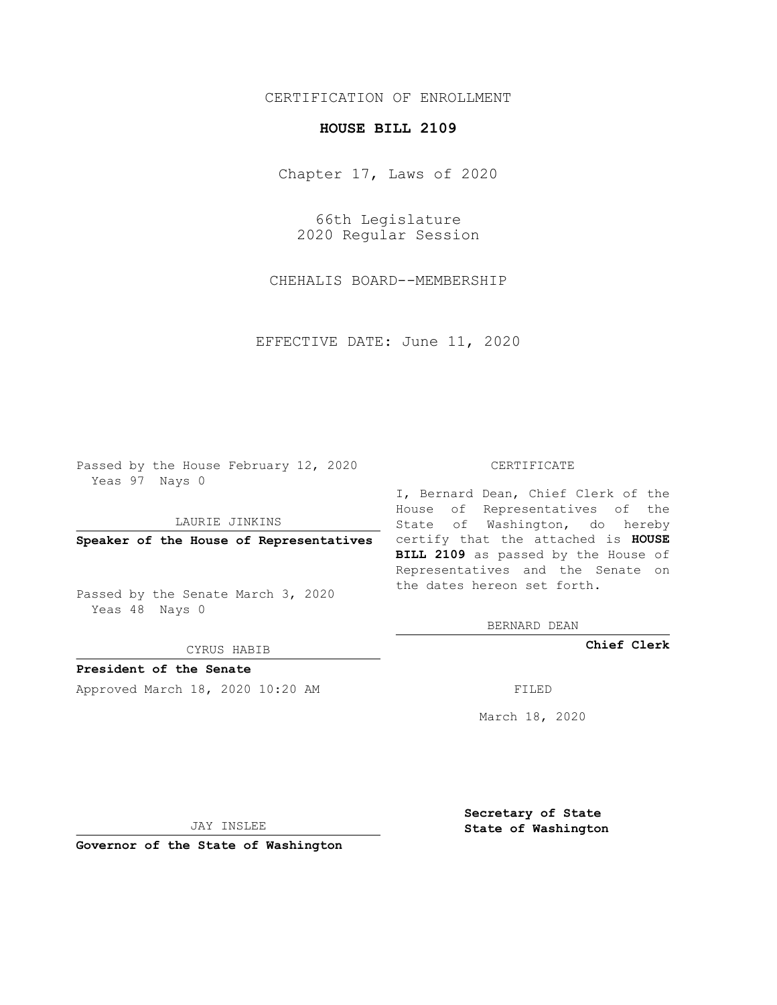## CERTIFICATION OF ENROLLMENT

## **HOUSE BILL 2109**

Chapter 17, Laws of 2020

66th Legislature 2020 Regular Session

CHEHALIS BOARD--MEMBERSHIP

EFFECTIVE DATE: June 11, 2020

Passed by the House February 12, 2020 Yeas 97 Nays 0

LAURIE JINKINS

Passed by the Senate March 3, 2020 Yeas 48 Nays 0

CYRUS HABIB

**President of the Senate**

Approved March 18, 2020 10:20 AM FILED

## CERTIFICATE

**Speaker of the House of Representatives** certify that the attached is **HOUSE** I, Bernard Dean, Chief Clerk of the House of Representatives of the State of Washington, do hereby **BILL 2109** as passed by the House of Representatives and the Senate on the dates hereon set forth.

BERNARD DEAN

**Chief Clerk**

March 18, 2020

JAY INSLEE

**Governor of the State of Washington**

**Secretary of State State of Washington**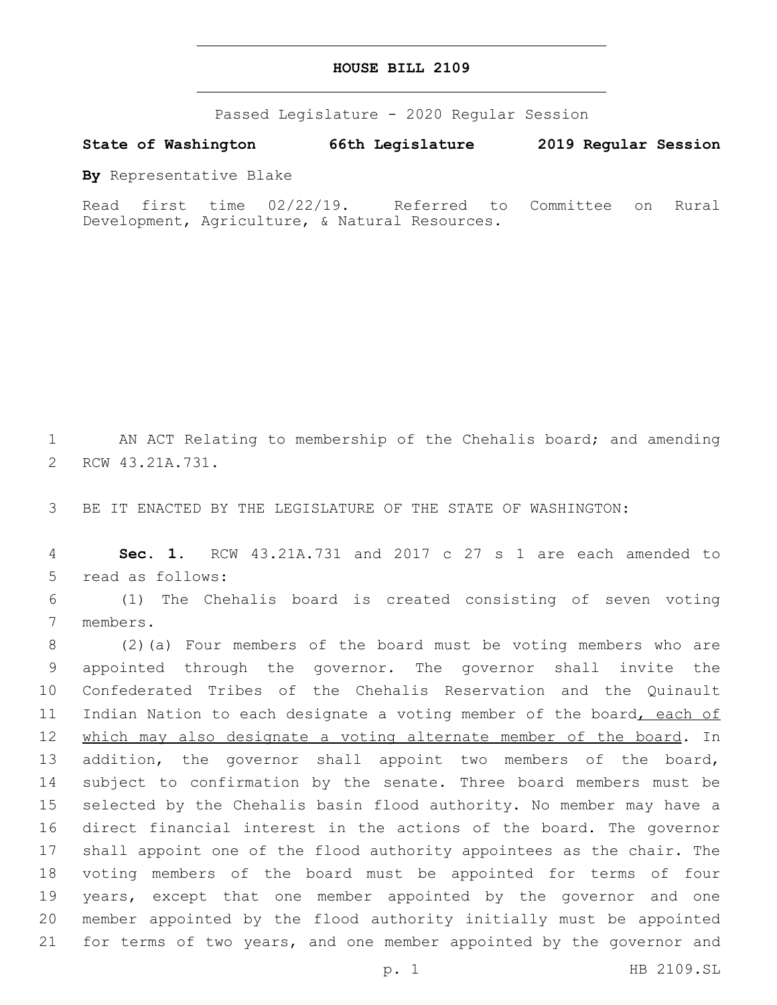## **HOUSE BILL 2109**

Passed Legislature - 2020 Regular Session

**State of Washington 66th Legislature 2019 Regular Session**

**By** Representative Blake

Read first time 02/22/19. Referred to Committee on Rural Development, Agriculture, & Natural Resources.

1 AN ACT Relating to membership of the Chehalis board; and amending 2 RCW 43.21A.731.

3 BE IT ENACTED BY THE LEGISLATURE OF THE STATE OF WASHINGTON:

4 **Sec. 1.** RCW 43.21A.731 and 2017 c 27 s 1 are each amended to 5 read as follows:

6 (1) The Chehalis board is created consisting of seven voting 7 members.

 (2)(a) Four members of the board must be voting members who are appointed through the governor. The governor shall invite the Confederated Tribes of the Chehalis Reservation and the Quinault 11 Indian Nation to each designate a voting member of the board, each of 12 which may also designate a voting alternate member of the board. In 13 addition, the governor shall appoint two members of the board, subject to confirmation by the senate. Three board members must be selected by the Chehalis basin flood authority. No member may have a direct financial interest in the actions of the board. The governor shall appoint one of the flood authority appointees as the chair. The voting members of the board must be appointed for terms of four years, except that one member appointed by the governor and one member appointed by the flood authority initially must be appointed for terms of two years, and one member appointed by the governor and